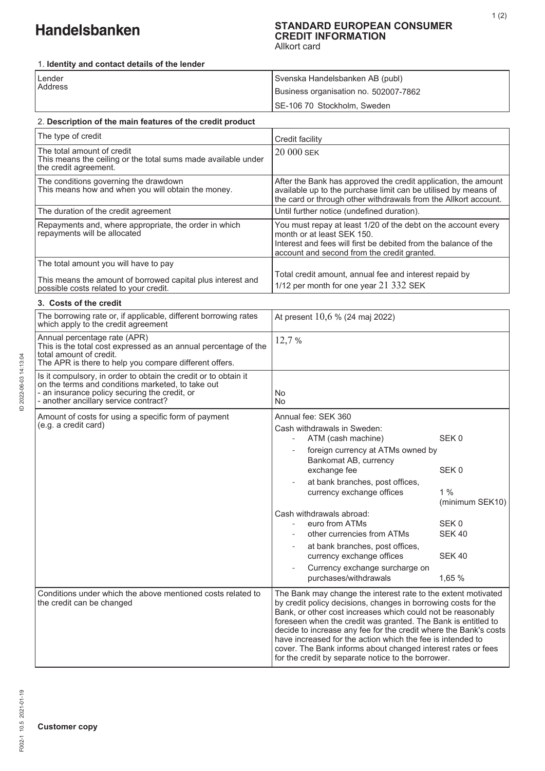# Handelsbanken

#### **STANDARD EUROPEAN CONSUMER CREDIT INFORMATION**  Allkort card

1. **Identity and contact details of the lender**

| Lender  | Svenska Handelsbanken AB (publ)       |
|---------|---------------------------------------|
| Address | Business organisation no. 502007-7862 |
|         | ISE-106 70 Stockholm, Sweden          |

| 2. Description of the main features of the credit product |
|-----------------------------------------------------------|
|-----------------------------------------------------------|

| The type of credit                                                                                                   | Credit facility                                                                                                                                                                                               |
|----------------------------------------------------------------------------------------------------------------------|---------------------------------------------------------------------------------------------------------------------------------------------------------------------------------------------------------------|
| The total amount of credit<br>This means the ceiling or the total sums made available under<br>the credit agreement. | $20000$ SEK                                                                                                                                                                                                   |
| The conditions governing the drawdown<br>This means how and when you will obtain the money.                          | After the Bank has approved the credit application, the amount<br>available up to the purchase limit can be utilised by means of<br>the card or through other withdrawals from the Allkort account.           |
| The duration of the credit agreement                                                                                 | Until further notice (undefined duration).                                                                                                                                                                    |
| Repayments and, where appropriate, the order in which<br>repayments will be allocated                                | You must repay at least 1/20 of the debt on the account every<br>month or at least SEK 150.<br>Interest and fees will first be debited from the balance of the<br>account and second from the credit granted. |
| The total amount you will have to pay                                                                                |                                                                                                                                                                                                               |
| This means the amount of borrowed capital plus interest and<br>possible costs related to your credit.                | Total credit amount, annual fee and interest repaid by<br>1/12 per month for one year 21 332 SEK                                                                                                              |

| 3. Costs of the credit                                                                                                                                                                                         |                                                                                                                                                                                                                                                                                                                                                                                                                                                                                                                         |                                                                                                                               |
|----------------------------------------------------------------------------------------------------------------------------------------------------------------------------------------------------------------|-------------------------------------------------------------------------------------------------------------------------------------------------------------------------------------------------------------------------------------------------------------------------------------------------------------------------------------------------------------------------------------------------------------------------------------------------------------------------------------------------------------------------|-------------------------------------------------------------------------------------------------------------------------------|
| The borrowing rate or, if applicable, different borrowing rates<br>which apply to the credit agreement                                                                                                         | At present $10,6%$ (24 maj 2022)                                                                                                                                                                                                                                                                                                                                                                                                                                                                                        |                                                                                                                               |
| Annual percentage rate (APR)<br>This is the total cost expressed as an annual percentage of the<br>total amount of credit.<br>The APR is there to help you compare different offers.                           | 12,7%                                                                                                                                                                                                                                                                                                                                                                                                                                                                                                                   |                                                                                                                               |
| Is it compulsory, in order to obtain the credit or to obtain it<br>on the terms and conditions marketed, to take out<br>- an insurance policy securing the credit, or<br>- another ancillary service contract? | <b>No</b><br><b>No</b>                                                                                                                                                                                                                                                                                                                                                                                                                                                                                                  |                                                                                                                               |
| Amount of costs for using a specific form of payment<br>(e.g. a credit card)                                                                                                                                   | Annual fee: SEK 360<br>Cash withdrawals in Sweden:<br>ATM (cash machine)<br>foreign currency at ATMs owned by<br>Bankomat AB, currency<br>exchange fee<br>at bank branches, post offices,<br>currency exchange offices<br>Cash withdrawals abroad:<br>euro from ATMs<br>other currencies from ATMs<br>at bank branches, post offices,<br>currency exchange offices<br>Currency exchange surcharge on<br>purchases/withdrawals                                                                                           | SEK <sub>0</sub><br>SEK <sub>0</sub><br>1%<br>(minimum SEK10)<br>SEK <sub>0</sub><br><b>SEK 40</b><br><b>SEK 40</b><br>1,65 % |
| Conditions under which the above mentioned costs related to<br>the credit can be changed                                                                                                                       | The Bank may change the interest rate to the extent motivated<br>by credit policy decisions, changes in borrowing costs for the<br>Bank, or other cost increases which could not be reasonably<br>foreseen when the credit was granted. The Bank is entitled to<br>decide to increase any fee for the credit where the Bank's costs<br>have increased for the action which the fee is intended to<br>cover. The Bank informs about changed interest rates or fees<br>for the credit by separate notice to the borrower. |                                                                                                                               |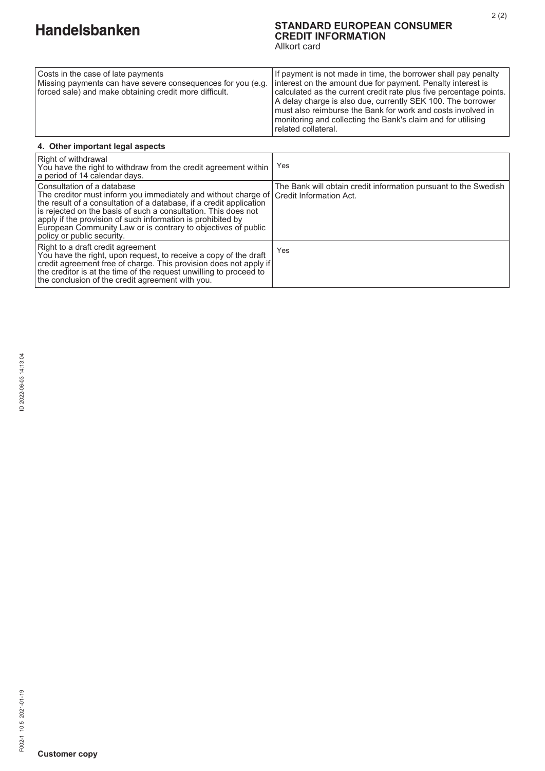# **STANDARD EUROPEAN CONSUMER CREDIT INFORMATION**

2 (2)

Allkort card

| Costs in the case of late payments<br>Missing payments can have severe consequences for you (e.g.<br>forced sale) and make obtaining credit more difficult. | If payment is not made in time, the borrower shall pay penalty<br>Interest on the amount due for payment. Penalty interest is<br>calculated as the current credit rate plus five percentage points.               |  |  |
|-------------------------------------------------------------------------------------------------------------------------------------------------------------|-------------------------------------------------------------------------------------------------------------------------------------------------------------------------------------------------------------------|--|--|
|                                                                                                                                                             | A delay charge is also due, currently SEK 100. The borrower<br>must also reimburse the Bank for work and costs involved in<br>monitoring and collecting the Bank's claim and for utilising<br>related collateral. |  |  |
| 4. Other important legal aspects                                                                                                                            |                                                                                                                                                                                                                   |  |  |
| بالمترود ومسامله والقائرين الكرمي المساوم فالاتتال                                                                                                          |                                                                                                                                                                                                                   |  |  |

| l Right of withdrawal<br>You have the right to withdraw from the credit agreement within<br>l a period of 14 calendar days.                                                                                                                                                                                                                                                                                                   | Yes                                                             |
|-------------------------------------------------------------------------------------------------------------------------------------------------------------------------------------------------------------------------------------------------------------------------------------------------------------------------------------------------------------------------------------------------------------------------------|-----------------------------------------------------------------|
| l Consultation of a database<br>The creditor must inform you immediately and without charge of Credit Information Act.<br>the result of a consultation of a database, if a credit application<br>Is rejected on the basis of such a consultation. This does not<br>apply if the provision of such information is prohibited by<br>European Community Law or is contrary to objectives of public<br>policy or public security. | The Bank will obtain credit information pursuant to the Swedish |
| Right to a draft credit agreement<br>You have the right, upon request, to receive a copy of the draft<br>  credit agreement free of charge. This provision does not apply if  <br>the creditor is at the time of the request unwilling to proceed to<br>the conclusion of the credit agreement with you.                                                                                                                      | Yes                                                             |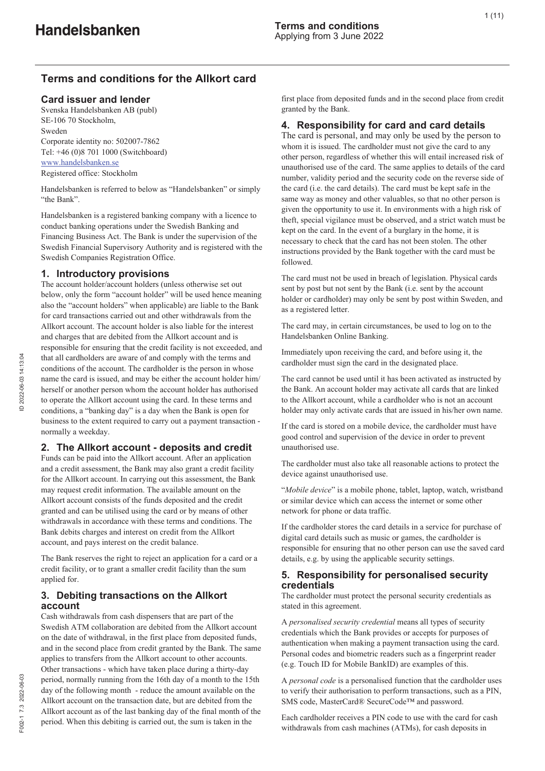# **Terms and conditions for the Allkort card**

#### **Card issuer and lender**

Svenska Handelsbanken AB (publ) SE-106 70 Stockholm, Sweden Corporate identity no: 502007-7862 Tel: +46 (0)8 701 1000 (Switchboard) www.handelsbanken.se Registered office: Stockholm

Handelsbanken is referred to below as "Handelsbanken" or simply "the Bank".

Handelsbanken is a registered banking company with a licence to conduct banking operations under the Swedish Banking and Financing Business Act. The Bank is under the supervision of the Swedish Financial Supervisory Authority and is registered with the Swedish Companies Registration Office.

#### **1. Introductory provisions**

The account holder/account holders (unless otherwise set out below, only the form "account holder" will be used hence meaning also the "account holders" when applicable) are liable to the Bank for card transactions carried out and other withdrawals from the Allkort account. The account holder is also liable for the interest and charges that are debited from the Allkort account and is responsible for ensuring that the credit facility is not exceeded, and that all cardholders are aware of and comply with the terms and conditions of the account. The cardholder is the person in whose name the card is issued, and may be either the account holder him/ herself or another person whom the account holder has authorised to operate the Allkort account using the card. In these terms and conditions, a "banking day" is a day when the Bank is open for business to the extent required to carry out a payment transaction normally a weekday.

#### **2. The Allkort account - deposits and credit**

Funds can be paid into the Allkort account. After an application and a credit assessment, the Bank may also grant a credit facility for the Allkort account. In carrying out this assessment, the Bank may request credit information. The available amount on the Allkort account consists of the funds deposited and the credit granted and can be utilised using the card or by means of other withdrawals in accordance with these terms and conditions. The Bank debits charges and interest on credit from the Allkort account, and pays interest on the credit balance.

The Bank reserves the right to reject an application for a card or a credit facility, or to grant a smaller credit facility than the sum applied for.

#### **3. Debiting transactions on the Allkort account**

Cash withdrawals from cash dispensers that are part of the Swedish ATM collaboration are debited from the Allkort account on the date of withdrawal, in the first place from deposited funds, and in the second place from credit granted by the Bank. The same applies to transfers from the Allkort account to other accounts. Other transactions - which have taken place during a thirty-day period, normally running from the 16th day of a month to the 15th day of the following month - reduce the amount available on the Allkort account on the transaction date, but are debited from the Allkort account as of the last banking day of the final month of the period. When this debiting is carried out, the sum is taken in the

first place from deposited funds and in the second place from credit granted by the Bank.

#### **4. Responsibility for card and card details**

The card is personal, and may only be used by the person to whom it is issued. The cardholder must not give the card to any other person, regardless of whether this will entail increased risk of unauthorised use of the card. The same applies to details of the card number, validity period and the security code on the reverse side of the card (i.e. the card details). The card must be kept safe in the same way as money and other valuables, so that no other person is given the opportunity to use it. In environments with a high risk of theft, special vigilance must be observed, and a strict watch must be kept on the card. In the event of a burglary in the home, it is necessary to check that the card has not been stolen. The other instructions provided by the Bank together with the card must be followed.

The card must not be used in breach of legislation. Physical cards sent by post but not sent by the Bank (i.e. sent by the account holder or cardholder) may only be sent by post within Sweden, and as a registered letter.

The card may, in certain circumstances, be used to log on to the Handelsbanken Online Banking.

Immediately upon receiving the card, and before using it, the cardholder must sign the card in the designated place.

The card cannot be used until it has been activated as instructed by the Bank. An account holder may activate all cards that are linked to the Allkort account, while a cardholder who is not an account holder may only activate cards that are issued in his/her own name.

If the card is stored on a mobile device, the cardholder must have good control and supervision of the device in order to prevent unauthorised use.

The cardholder must also take all reasonable actions to protect the device against unauthorised use.

"*Mobile device*" is a mobile phone, tablet, laptop, watch, wristband or similar device which can access the internet or some other network for phone or data traffic.

If the cardholder stores the card details in a service for purchase of digital card details such as music or games, the cardholder is responsible for ensuring that no other person can use the saved card details, e.g. by using the applicable security settings.

#### **5. Responsibility for personalised security credentials**

The cardholder must protect the personal security credentials as stated in this agreement.

A *personalised security credential* means all types of security credentials which the Bank provides or accepts for purposes of authentication when making a payment transaction using the card. Personal codes and biometric readers such as a fingerprint reader (e.g. Touch ID for Mobile BankID) are examples of this.

A *personal code* is a personalised function that the cardholder uses to verify their authorisation to perform transactions, such as a PIN, SMS code, MasterCard® SecureCode™ and password.

Each cardholder receives a PIN code to use with the card for cash withdrawals from cash machines (ATMs), for cash deposits in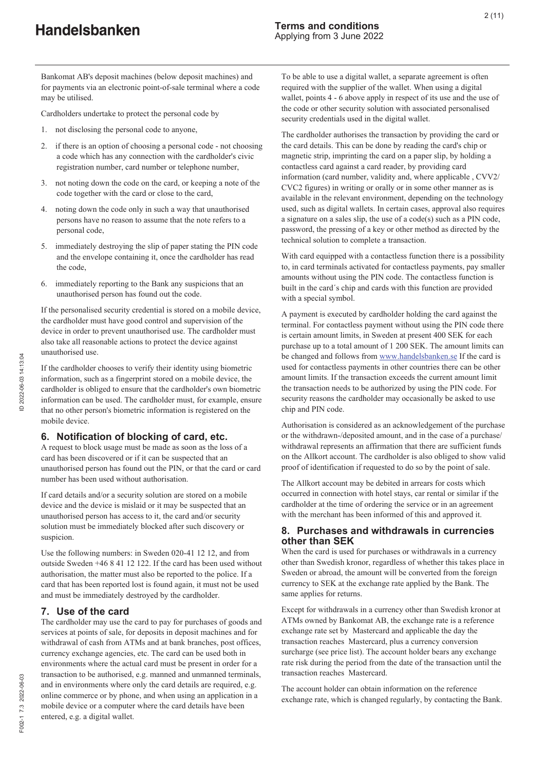Bankomat AB's deposit machines (below deposit machines) and for payments via an electronic point-of-sale terminal where a code may be utilised.

Cardholders undertake to protect the personal code by

- 1. not disclosing the personal code to anyone,
- 2. if there is an option of choosing a personal code not choosing a code which has any connection with the cardholder's civic registration number, card number or telephone number,
- 3. not noting down the code on the card, or keeping a note of the code together with the card or close to the card,
- 4. noting down the code only in such a way that unauthorised persons have no reason to assume that the note refers to a personal code,
- 5. immediately destroying the slip of paper stating the PIN code and the envelope containing it, once the cardholder has read the code,
- 6. immediately reporting to the Bank any suspicions that an unauthorised person has found out the code.

If the personalised security credential is stored on a mobile device, the cardholder must have good control and supervision of the device in order to prevent unauthorised use. The cardholder must also take all reasonable actions to protect the device against unauthorised use.

If the cardholder chooses to verify their identity using biometric information, such as a fingerprint stored on a mobile device, the cardholder is obliged to ensure that the cardholder's own biometric information can be used. The cardholder must, for example, ensure that no other person's biometric information is registered on the mobile device.

#### **6. Notification of blocking of card, etc.**

A request to block usage must be made as soon as the loss of a card has been discovered or if it can be suspected that an unauthorised person has found out the PIN, or that the card or card number has been used without authorisation.

If card details and/or a security solution are stored on a mobile device and the device is mislaid or it may be suspected that an unauthorised person has access to it, the card and/or security solution must be immediately blocked after such discovery or suspicion.

Use the following numbers: in Sweden 020-41 12 12, and from outside Sweden +46 8 41 12 122. If the card has been used without authorisation, the matter must also be reported to the police. If a card that has been reported lost is found again, it must not be used and must be immediately destroyed by the cardholder.

#### **7. Use of the card**

The cardholder may use the card to pay for purchases of goods and services at points of sale, for deposits in deposit machines and for withdrawal of cash from ATMs and at bank branches, post offices, currency exchange agencies, etc. The card can be used both in environments where the actual card must be present in order for a transaction to be authorised, e.g. manned and unmanned terminals, and in environments where only the card details are required, e.g. online commerce or by phone, and when using an application in a mobile device or a computer where the card details have been entered, e.g. a digital wallet.

To be able to use a digital wallet, a separate agreement is often required with the supplier of the wallet. When using a digital wallet, points 4 - 6 above apply in respect of its use and the use of the code or other security solution with associated personalised security credentials used in the digital wallet.

The cardholder authorises the transaction by providing the card or the card details. This can be done by reading the card's chip or magnetic strip, imprinting the card on a paper slip, by holding a contactless card against a card reader, by providing card information (card number, validity and, where applicable , CVV2/ CVC2 figures) in writing or orally or in some other manner as is available in the relevant environment, depending on the technology used, such as digital wallets. In certain cases, approval also requires a signature on a sales slip, the use of a code(s) such as a PIN code, password, the pressing of a key or other method as directed by the technical solution to complete a transaction.

With card equipped with a contactless function there is a possibility to, in card terminals activated for contactless payments, pay smaller amounts without using the PIN code. The contactless function is built in the card´s chip and cards with this function are provided with a special symbol.

A payment is executed by cardholder holding the card against the terminal. For contactless payment without using the PIN code there is certain amount limits, in Sweden at present 400 SEK for each purchase up to a total amount of 1 200 SEK. The amount limits can be changed and follows from www.handelsbanken.se If the card is used for contactless payments in other countries there can be other amount limits. If the transaction exceeds the current amount limit the transaction needs to be authorized by using the PIN code. For security reasons the cardholder may occasionally be asked to use chip and PIN code.

Authorisation is considered as an acknowledgement of the purchase or the withdrawn-/deposited amount, and in the case of a purchase/ withdrawal represents an affirmation that there are sufficient funds on the Allkort account. The cardholder is also obliged to show valid proof of identification if requested to do so by the point of sale.

The Allkort account may be debited in arrears for costs which occurred in connection with hotel stays, car rental or similar if the cardholder at the time of ordering the service or in an agreement with the merchant has been informed of this and approved it.

#### **8. Purchases and withdrawals in currencies other than SEK**

When the card is used for purchases or withdrawals in a currency other than Swedish kronor, regardless of whether this takes place in Sweden or abroad, the amount will be converted from the foreign currency to SEK at the exchange rate applied by the Bank. The same applies for returns.

Except for withdrawals in a currency other than Swedish kronor at ATMs owned by Bankomat AB, the exchange rate is a reference exchange rate set by Mastercard and applicable the day the transaction reaches Mastercard, plus a currency conversion surcharge (see price list). The account holder bears any exchange rate risk during the period from the date of the transaction until the transaction reaches Mastercard.

The account holder can obtain information on the reference exchange rate, which is changed regularly, by contacting the Bank.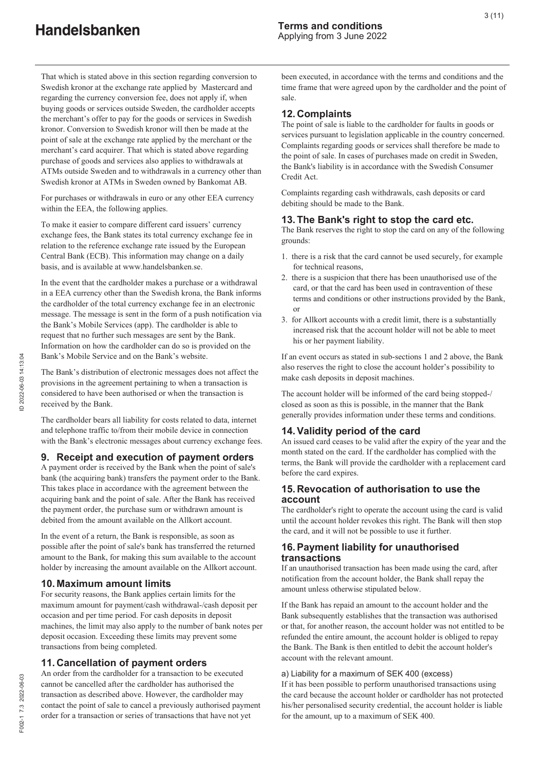That which is stated above in this section regarding conversion to Swedish kronor at the exchange rate applied by Mastercard and regarding the currency conversion fee, does not apply if, when buying goods or services outside Sweden, the cardholder accepts the merchant's offer to pay for the goods or services in Swedish kronor. Conversion to Swedish kronor will then be made at the point of sale at the exchange rate applied by the merchant or the merchant's card acquirer. That which is stated above regarding purchase of goods and services also applies to withdrawals at ATMs outside Sweden and to withdrawals in a currency other than Swedish kronor at ATMs in Sweden owned by Bankomat AB.

For purchases or withdrawals in euro or any other EEA currency within the EEA, the following applies.

To make it easier to compare different card issuers' currency exchange fees, the Bank states its total currency exchange fee in relation to the reference exchange rate issued by the European Central Bank (ECB). This information may change on a daily basis, and is available at www.handelsbanken.se.

In the event that the cardholder makes a purchase or a withdrawal in a EEA currency other than the Swedish krona, the Bank informs the cardholder of the total currency exchange fee in an electronic message. The message is sent in the form of a push notification via the Bank's Mobile Services (app). The cardholder is able to request that no further such messages are sent by the Bank. Information on how the cardholder can do so is provided on the Bank's Mobile Service and on the Bank's website.

The Bank's distribution of electronic messages does not affect the provisions in the agreement pertaining to when a transaction is considered to have been authorised or when the transaction is received by the Bank.

The cardholder bears all liability for costs related to data, internet and telephone traffic to/from their mobile device in connection with the Bank's electronic messages about currency exchange fees.

# **9. Receipt and execution of payment orders**

A payment order is received by the Bank when the point of sale's bank (the acquiring bank) transfers the payment order to the Bank. This takes place in accordance with the agreement between the acquiring bank and the point of sale. After the Bank has received the payment order, the purchase sum or withdrawn amount is debited from the amount available on the Allkort account.

In the event of a return, the Bank is responsible, as soon as possible after the point of sale's bank has transferred the returned amount to the Bank, for making this sum available to the account holder by increasing the amount available on the Allkort account.

#### **10. Maximum amount limits**

For security reasons, the Bank applies certain limits for the maximum amount for payment/cash withdrawal-/cash deposit per occasion and per time period. For cash deposits in deposit machines, the limit may also apply to the number of bank notes per deposit occasion. Exceeding these limits may prevent some transactions from being completed.

#### **11. Cancellation of payment orders**

An order from the cardholder for a transaction to be executed cannot be cancelled after the cardholder has authorised the transaction as described above. However, the cardholder may contact the point of sale to cancel a previously authorised payment order for a transaction or series of transactions that have not yet

been executed, in accordance with the terms and conditions and the time frame that were agreed upon by the cardholder and the point of sale.

#### **12. Complaints**

The point of sale is liable to the cardholder for faults in goods or services pursuant to legislation applicable in the country concerned. Complaints regarding goods or services shall therefore be made to the point of sale. In cases of purchases made on credit in Sweden, the Bank's liability is in accordance with the Swedish Consumer Credit Act.

Complaints regarding cash withdrawals, cash deposits or card debiting should be made to the Bank.

#### **13. The Bank's right to stop the card etc.**

The Bank reserves the right to stop the card on any of the following grounds:

- 1. there is a risk that the card cannot be used securely, for example for technical reasons,
- 2. there is a suspicion that there has been unauthorised use of the card, or that the card has been used in contravention of these terms and conditions or other instructions provided by the Bank, or
- 3. for Allkort accounts with a credit limit, there is a substantially increased risk that the account holder will not be able to meet his or her payment liability.

If an event occurs as stated in sub-sections 1 and 2 above, the Bank also reserves the right to close the account holder's possibility to make cash deposits in deposit machines.

The account holder will be informed of the card being stopped-/ closed as soon as this is possible, in the manner that the Bank generally provides information under these terms and conditions.

#### **14. Validity period of the card**

An issued card ceases to be valid after the expiry of the year and the month stated on the card. If the cardholder has complied with the terms, the Bank will provide the cardholder with a replacement card before the card expires.

#### **15. Revocation of authorisation to use the account**

The cardholder's right to operate the account using the card is valid until the account holder revokes this right. The Bank will then stop the card, and it will not be possible to use it further.

#### **16. Payment liability for unauthorised transactions**

If an unauthorised transaction has been made using the card, after notification from the account holder, the Bank shall repay the amount unless otherwise stipulated below.

If the Bank has repaid an amount to the account holder and the Bank subsequently establishes that the transaction was authorised or that, for another reason, the account holder was not entitled to be refunded the entire amount, the account holder is obliged to repay the Bank. The Bank is then entitled to debit the account holder's account with the relevant amount.

#### a) Liability for a maximum of SEK 400 (excess)

If it has been possible to perform unauthorised transactions using the card because the account holder or cardholder has not protected his/her personalised security credential, the account holder is liable for the amount, up to a maximum of SEK 400.

F002-1 7.3 2022-06-03

7002-1 7.3 2022-06-03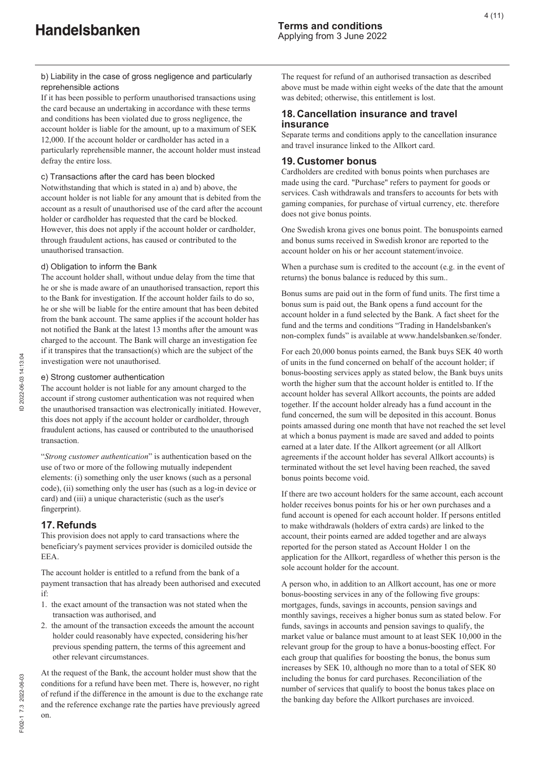**Handelsbanken** 

b) Liability in the case of gross negligence and particularly reprehensible actions

If it has been possible to perform unauthorised transactions using the card because an undertaking in accordance with these terms and conditions has been violated due to gross negligence, the account holder is liable for the amount, up to a maximum of SEK 12,000. If the account holder or cardholder has acted in a particularly reprehensible manner, the account holder must instead defray the entire loss.

#### c) Transactions after the card has been blocked

Notwithstanding that which is stated in a) and b) above, the account holder is not liable for any amount that is debited from the account as a result of unauthorised use of the card after the account holder or cardholder has requested that the card be blocked. However, this does not apply if the account holder or cardholder, through fraudulent actions, has caused or contributed to the unauthorised transaction.

#### d) Obligation to inform the Bank

The account holder shall, without undue delay from the time that he or she is made aware of an unauthorised transaction, report this to the Bank for investigation. If the account holder fails to do so, he or she will be liable for the entire amount that has been debited from the bank account. The same applies if the account holder has not notified the Bank at the latest 13 months after the amount was charged to the account. The Bank will charge an investigation fee if it transpires that the transaction(s) which are the subject of the investigation were not unauthorised.

#### e) Strong customer authentication

The account holder is not liable for any amount charged to the account if strong customer authentication was not required when the unauthorised transaction was electronically initiated. However, this does not apply if the account holder or cardholder, through fraudulent actions, has caused or contributed to the unauthorised transaction.

"*Strong customer authentication*" is authentication based on the use of two or more of the following mutually independent elements: (i) something only the user knows (such as a personal code), (ii) something only the user has (such as a log-in device or card) and (iii) a unique characteristic (such as the user's fingerprint).

# **17. Refunds**

This provision does not apply to card transactions where the beneficiary's payment services provider is domiciled outside the EEA.

The account holder is entitled to a refund from the bank of a payment transaction that has already been authorised and executed if:

- 1. the exact amount of the transaction was not stated when the transaction was authorised, and
- 2. the amount of the transaction exceeds the amount the account holder could reasonably have expected, considering his/her previous spending pattern, the terms of this agreement and other relevant circumstances.

At the request of the Bank, the account holder must show that the conditions for a refund have been met. There is, however, no right of refund if the difference in the amount is due to the exchange rate and the reference exchange rate the parties have previously agreed on.

The request for refund of an authorised transaction as described above must be made within eight weeks of the date that the amount was debited; otherwise, this entitlement is lost.

### **18. Cancellation insurance and travel insurance**

Separate terms and conditions apply to the cancellation insurance and travel insurance linked to the Allkort card.

#### **19. Customer bonus**

Cardholders are credited with bonus points when purchases are made using the card. "Purchase" refers to payment for goods or services. Cash withdrawals and transfers to accounts for bets with gaming companies, for purchase of virtual currency, etc. therefore does not give bonus points.

One Swedish krona gives one bonus point. The bonuspoints earned and bonus sums received in Swedish kronor are reported to the account holder on his or her account statement/invoice.

When a purchase sum is credited to the account (e.g. in the event of returns) the bonus balance is reduced by this sum..

Bonus sums are paid out in the form of fund units. The first time a bonus sum is paid out, the Bank opens a fund account for the account holder in a fund selected by the Bank. A fact sheet for the fund and the terms and conditions "Trading in Handelsbanken's non-complex funds" is available at www.handelsbanken.se/fonder.

For each 20,000 bonus points earned, the Bank buys SEK 40 worth of units in the fund concerned on behalf of the account holder; if bonus-boosting services apply as stated below, the Bank buys units worth the higher sum that the account holder is entitled to. If the account holder has several Allkort accounts, the points are added together. If the account holder already has a fund account in the fund concerned, the sum will be deposited in this account. Bonus points amassed during one month that have not reached the set level at which a bonus payment is made are saved and added to points earned at a later date. If the Allkort agreement (or all Allkort agreements if the account holder has several Allkort accounts) is terminated without the set level having been reached, the saved bonus points become void.

If there are two account holders for the same account, each account holder receives bonus points for his or her own purchases and a fund account is opened for each account holder. If persons entitled to make withdrawals (holders of extra cards) are linked to the account, their points earned are added together and are always reported for the person stated as Account Holder 1 on the application for the Allkort, regardless of whether this person is the sole account holder for the account.

A person who, in addition to an Allkort account, has one or more bonus-boosting services in any of the following five groups: mortgages, funds, savings in accounts, pension savings and monthly savings, receives a higher bonus sum as stated below. For funds, savings in accounts and pension savings to qualify, the market value or balance must amount to at least SEK 10,000 in the relevant group for the group to have a bonus-boosting effect. For each group that qualifies for boosting the bonus, the bonus sum increases by SEK 10, although no more than to a total of SEK 80 including the bonus for card purchases. Reconciliation of the number of services that qualify to boost the bonus takes place on the banking day before the Allkort purchases are invoiced.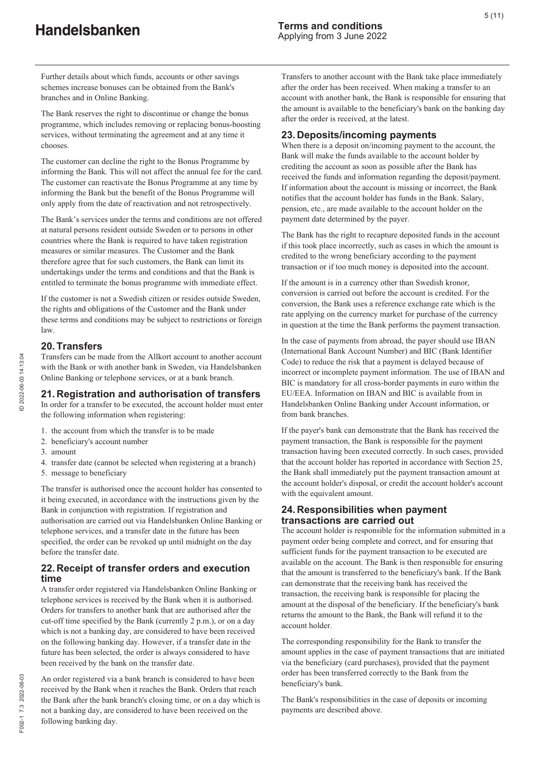Further details about which funds, accounts or other savings schemes increase bonuses can be obtained from the Bank's branches and in Online Banking.

The Bank reserves the right to discontinue or change the bonus programme, which includes removing or replacing bonus-boosting services, without terminating the agreement and at any time it chooses.

The customer can decline the right to the Bonus Programme by informing the Bank. This will not affect the annual fee for the card. The customer can reactivate the Bonus Programme at any time by informing the Bank but the benefit of the Bonus Programme will only apply from the date of reactivation and not retrospectively.

The Bank's services under the terms and conditions are not offered at natural persons resident outside Sweden or to persons in other countries where the Bank is required to have taken registration measures or similar measures. The Customer and the Bank therefore agree that for such customers, the Bank can limit its undertakings under the terms and conditions and that the Bank is entitled to terminate the bonus programme with immediate effect.

If the customer is not a Swedish citizen or resides outside Sweden, the rights and obligations of the Customer and the Bank under these terms and conditions may be subject to restrictions or foreign law.

#### **20. Transfers**

Transfers can be made from the Allkort account to another account with the Bank or with another bank in Sweden, via Handelsbanken Online Banking or telephone services, or at a bank branch.

#### **21. Registration and authorisation of transfers**

In order for a transfer to be executed, the account holder must enter the following information when registering:

- 1. the account from which the transfer is to be made
- 2. beneficiary's account number
- 3. amount
- 4. transfer date (cannot be selected when registering at a branch)
- 5. message to beneficiary

The transfer is authorised once the account holder has consented to it being executed, in accordance with the instructions given by the Bank in conjunction with registration. If registration and authorisation are carried out via Handelsbanken Online Banking or telephone services, and a transfer date in the future has been specified, the order can be revoked up until midnight on the day before the transfer date.

#### **22. Receipt of transfer orders and execution time**

A transfer order registered via Handelsbanken Online Banking or telephone services is received by the Bank when it is authorised. Orders for transfers to another bank that are authorised after the cut-off time specified by the Bank (currently 2 p.m.), or on a day which is not a banking day, are considered to have been received on the following banking day. However, if a transfer date in the future has been selected, the order is always considered to have been received by the bank on the transfer date.

An order registered via a bank branch is considered to have been received by the Bank when it reaches the Bank. Orders that reach the Bank after the bank branch's closing time, or on a day which is not a banking day, are considered to have been received on the following banking day.

Transfers to another account with the Bank take place immediately after the order has been received. When making a transfer to an account with another bank, the Bank is responsible for ensuring that the amount is available to the beneficiary's bank on the banking day after the order is received, at the latest.

### **23. Deposits/incoming payments**

When there is a deposit on/incoming payment to the account, the Bank will make the funds available to the account holder by crediting the account as soon as possible after the Bank has received the funds and information regarding the deposit/payment. If information about the account is missing or incorrect, the Bank notifies that the account holder has funds in the Bank. Salary, pension, etc., are made available to the account holder on the payment date determined by the payer.

The Bank has the right to recapture deposited funds in the account if this took place incorrectly, such as cases in which the amount is credited to the wrong beneficiary according to the payment transaction or if too much money is deposited into the account.

If the amount is in a currency other than Swedish kronor, conversion is carried out before the account is credited. For the conversion, the Bank uses a reference exchange rate which is the rate applying on the currency market for purchase of the currency in question at the time the Bank performs the payment transaction.

In the case of payments from abroad, the payer should use IBAN (International Bank Account Number) and BIC (Bank Identifier Code) to reduce the risk that a payment is delayed because of incorrect or incomplete payment information. The use of IBAN and BIC is mandatory for all cross-border payments in euro within the EU/EEA. Information on IBAN and BIC is available from in Handelsbanken Online Banking under Account information, or from bank branches.

If the payer's bank can demonstrate that the Bank has received the payment transaction, the Bank is responsible for the payment transaction having been executed correctly. In such cases, provided that the account holder has reported in accordance with Section 25, the Bank shall immediately put the payment transaction amount at the account holder's disposal, or credit the account holder's account with the equivalent amount.

#### **24. Responsibilities when payment transactions are carried out**

The account holder is responsible for the information submitted in a payment order being complete and correct, and for ensuring that sufficient funds for the payment transaction to be executed are available on the account. The Bank is then responsible for ensuring that the amount is transferred to the beneficiary's bank. If the Bank can demonstrate that the receiving bank has received the transaction, the receiving bank is responsible for placing the amount at the disposal of the beneficiary. If the beneficiary's bank returns the amount to the Bank, the Bank will refund it to the account holder.

The corresponding responsibility for the Bank to transfer the amount applies in the case of payment transactions that are initiated via the beneficiary (card purchases), provided that the payment order has been transferred correctly to the Bank from the beneficiary's bank.

The Bank's responsibilities in the case of deposits or incoming payments are described above.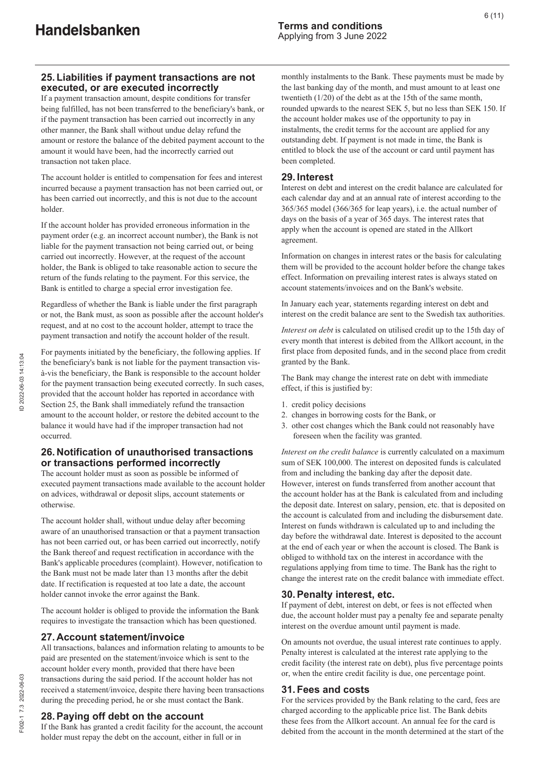# **25. Liabilities if payment transactions are not executed, or are executed incorrectly**

If a payment transaction amount, despite conditions for transfer being fulfilled, has not been transferred to the beneficiary's bank, or if the payment transaction has been carried out incorrectly in any other manner, the Bank shall without undue delay refund the amount or restore the balance of the debited payment account to the amount it would have been, had the incorrectly carried out transaction not taken place.

The account holder is entitled to compensation for fees and interest incurred because a payment transaction has not been carried out, or has been carried out incorrectly, and this is not due to the account holder.

If the account holder has provided erroneous information in the payment order (e.g. an incorrect account number), the Bank is not liable for the payment transaction not being carried out, or being carried out incorrectly. However, at the request of the account holder, the Bank is obliged to take reasonable action to secure the return of the funds relating to the payment. For this service, the Bank is entitled to charge a special error investigation fee.

Regardless of whether the Bank is liable under the first paragraph or not, the Bank must, as soon as possible after the account holder's request, and at no cost to the account holder, attempt to trace the payment transaction and notify the account holder of the result.

For payments initiated by the beneficiary, the following applies. If the beneficiary's bank is not liable for the payment transaction visà-vis the beneficiary, the Bank is responsible to the account holder for the payment transaction being executed correctly. In such cases, provided that the account holder has reported in accordance with Section 25, the Bank shall immediately refund the transaction amount to the account holder, or restore the debited account to the balance it would have had if the improper transaction had not occurred.

#### **26. Notification of unauthorised transactions or transactions performed incorrectly**

The account holder must as soon as possible be informed of executed payment transactions made available to the account holder on advices, withdrawal or deposit slips, account statements or otherwise.

The account holder shall, without undue delay after becoming aware of an unauthorised transaction or that a payment transaction has not been carried out, or has been carried out incorrectly, notify the Bank thereof and request rectification in accordance with the Bank's applicable procedures (complaint). However, notification to the Bank must not be made later than 13 months after the debit date. If rectification is requested at too late a date, the account holder cannot invoke the error against the Bank.

The account holder is obliged to provide the information the Bank requires to investigate the transaction which has been questioned.

# **27. Account statement/invoice**

All transactions, balances and information relating to amounts to be paid are presented on the statement/invoice which is sent to the account holder every month, provided that there have been transactions during the said period. If the account holder has not received a statement/invoice, despite there having been transactions during the preceding period, he or she must contact the Bank.

# **28. Paying off debt on the account**

If the Bank has granted a credit facility for the account, the account holder must repay the debt on the account, either in full or in

monthly instalments to the Bank. These payments must be made by the last banking day of the month, and must amount to at least one twentieth (1/20) of the debt as at the 15th of the same month, rounded upwards to the nearest SEK 5, but no less than SEK 150. If the account holder makes use of the opportunity to pay in instalments, the credit terms for the account are applied for any outstanding debt. If payment is not made in time, the Bank is entitled to block the use of the account or card until payment has been completed.

#### **29. Interest**

Interest on debt and interest on the credit balance are calculated for each calendar day and at an annual rate of interest according to the 365/365 model (366/365 for leap years), i.e. the actual number of days on the basis of a year of 365 days. The interest rates that apply when the account is opened are stated in the Allkort agreement.

Information on changes in interest rates or the basis for calculating them will be provided to the account holder before the change takes effect. Information on prevailing interest rates is always stated on account statements/invoices and on the Bank's website.

In January each year, statements regarding interest on debt and interest on the credit balance are sent to the Swedish tax authorities.

*Interest on debt* is calculated on utilised credit up to the 15th day of every month that interest is debited from the Allkort account, in the first place from deposited funds, and in the second place from credit granted by the Bank.

The Bank may change the interest rate on debt with immediate effect, if this is justified by:

- 1. credit policy decisions
- 2. changes in borrowing costs for the Bank, or
- 3. other cost changes which the Bank could not reasonably have foreseen when the facility was granted.

*Interest on the credit balance* is currently calculated on a maximum sum of SEK 100,000. The interest on deposited funds is calculated from and including the banking day after the deposit date. However, interest on funds transferred from another account that the account holder has at the Bank is calculated from and including the deposit date. Interest on salary, pension, etc. that is deposited on the account is calculated from and including the disbursement date. Interest on funds withdrawn is calculated up to and including the day before the withdrawal date. Interest is deposited to the account at the end of each year or when the account is closed. The Bank is obliged to withhold tax on the interest in accordance with the regulations applying from time to time. The Bank has the right to change the interest rate on the credit balance with immediate effect.

#### **30. Penalty interest, etc.**

If payment of debt, interest on debt, or fees is not effected when due, the account holder must pay a penalty fee and separate penalty interest on the overdue amount until payment is made.

On amounts not overdue, the usual interest rate continues to apply. Penalty interest is calculated at the interest rate applying to the credit facility (the interest rate on debt), plus five percentage points or, when the entire credit facility is due, one percentage point.

#### **31. Fees and costs**

For the services provided by the Bank relating to the card, fees are charged according to the applicable price list. The Bank debits these fees from the Allkort account. An annual fee for the card is debited from the account in the month determined at the start of the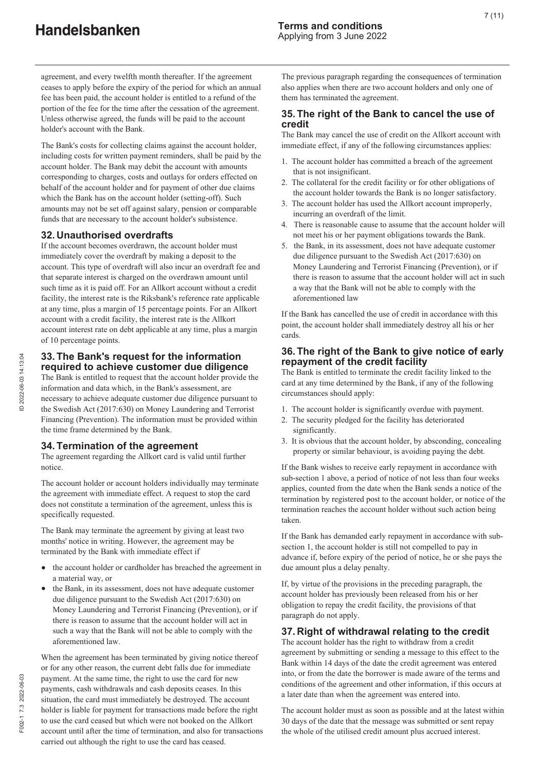agreement, and every twelfth month thereafter. If the agreement ceases to apply before the expiry of the period for which an annual fee has been paid, the account holder is entitled to a refund of the portion of the fee for the time after the cessation of the agreement. Unless otherwise agreed, the funds will be paid to the account holder's account with the Bank.

The Bank's costs for collecting claims against the account holder, including costs for written payment reminders, shall be paid by the account holder. The Bank may debit the account with amounts corresponding to charges, costs and outlays for orders effected on behalf of the account holder and for payment of other due claims which the Bank has on the account holder (setting-off). Such amounts may not be set off against salary, pension or comparable funds that are necessary to the account holder's subsistence.

#### **32. Unauthorised overdrafts**

If the account becomes overdrawn, the account holder must immediately cover the overdraft by making a deposit to the account. This type of overdraft will also incur an overdraft fee and that separate interest is charged on the overdrawn amount until such time as it is paid off. For an Allkort account without a credit facility, the interest rate is the Riksbank's reference rate applicable at any time, plus a margin of 15 percentage points. For an Allkort account with a credit facility, the interest rate is the Allkort account interest rate on debt applicable at any time, plus a margin of 10 percentage points.

#### **33. The Bank's request for the information required to achieve customer due diligence**

The Bank is entitled to request that the account holder provide the information and data which, in the Bank's assessment, are necessary to achieve adequate customer due diligence pursuant to the Swedish Act (2017:630) on Money Laundering and Terrorist Financing (Prevention). The information must be provided within the time frame determined by the Bank.

#### **34. Termination of the agreement**

The agreement regarding the Allkort card is valid until further notice.

The account holder or account holders individually may terminate the agreement with immediate effect. A request to stop the card does not constitute a termination of the agreement, unless this is specifically requested.

The Bank may terminate the agreement by giving at least two months' notice in writing. However, the agreement may be terminated by the Bank with immediate effect if

- the account holder or cardholder has breached the agreement in a material way, or
- the Bank, in its assessment, does not have adequate customer due diligence pursuant to the Swedish Act (2017:630) on Money Laundering and Terrorist Financing (Prevention), or if there is reason to assume that the account holder will act in such a way that the Bank will not be able to comply with the aforementioned law.

When the agreement has been terminated by giving notice thereof or for any other reason, the current debt falls due for immediate payment. At the same time, the right to use the card for new payments, cash withdrawals and cash deposits ceases. In this situation, the card must immediately be destroyed. The account holder is liable for payment for transactions made before the right to use the card ceased but which were not booked on the Allkort account until after the time of termination, and also for transactions carried out although the right to use the card has ceased.

The previous paragraph regarding the consequences of termination also applies when there are two account holders and only one of them has terminated the agreement.

#### **35. The right of the Bank to cancel the use of credit**

The Bank may cancel the use of credit on the Allkort account with immediate effect, if any of the following circumstances applies:

- 1. The account holder has committed a breach of the agreement that is not insignificant.
- 2. The collateral for the credit facility or for other obligations of the account holder towards the Bank is no longer satisfactory.
- 3. The account holder has used the Allkort account improperly, incurring an overdraft of the limit.
- 4. There is reasonable cause to assume that the account holder will not meet his or her payment obligations towards the Bank.
- 5. the Bank, in its assessment, does not have adequate customer due diligence pursuant to the Swedish Act (2017:630) on Money Laundering and Terrorist Financing (Prevention), or if there is reason to assume that the account holder will act in such a way that the Bank will not be able to comply with the aforementioned law

If the Bank has cancelled the use of credit in accordance with this point, the account holder shall immediately destroy all his or her cards.

#### **36. The right of the Bank to give notice of early repayment of the credit facility**

The Bank is entitled to terminate the credit facility linked to the card at any time determined by the Bank, if any of the following circumstances should apply:

- 1. The account holder is significantly overdue with payment.
- 2. The security pledged for the facility has deteriorated significantly.
- 3. It is obvious that the account holder, by absconding, concealing property or similar behaviour, is avoiding paying the debt.

If the Bank wishes to receive early repayment in accordance with sub-section 1 above, a period of notice of not less than four weeks applies, counted from the date when the Bank sends a notice of the termination by registered post to the account holder, or notice of the termination reaches the account holder without such action being taken.

If the Bank has demanded early repayment in accordance with subsection 1, the account holder is still not compelled to pay in advance if, before expiry of the period of notice, he or she pays the due amount plus a delay penalty.

If, by virtue of the provisions in the preceding paragraph, the account holder has previously been released from his or her obligation to repay the credit facility, the provisions of that paragraph do not apply.

#### **37. Right of withdrawal relating to the credit**

The account holder has the right to withdraw from a credit agreement by submitting or sending a message to this effect to the Bank within 14 days of the date the credit agreement was entered into, or from the date the borrower is made aware of the terms and conditions of the agreement and other information, if this occurs at a later date than when the agreement was entered into.

The account holder must as soon as possible and at the latest within 30 days of the date that the message was submitted or sent repay the whole of the utilised credit amount plus accrued interest.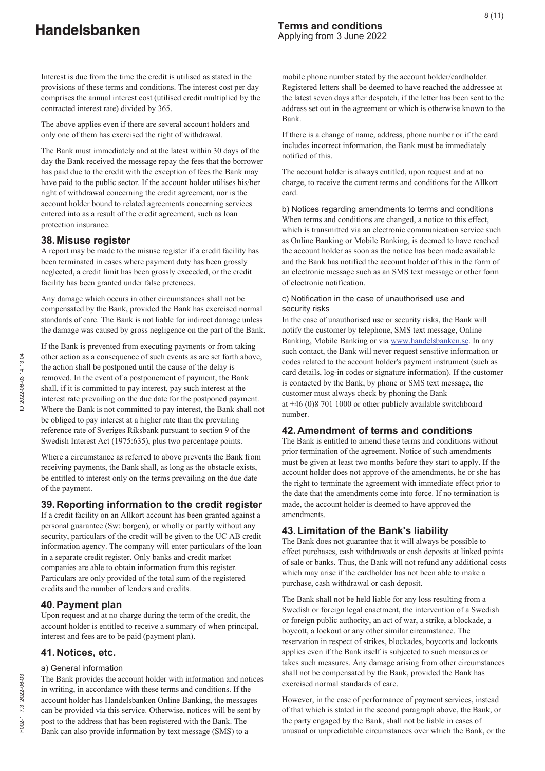Interest is due from the time the credit is utilised as stated in the provisions of these terms and conditions. The interest cost per day comprises the annual interest cost (utilised credit multiplied by the contracted interest rate) divided by 365.

The above applies even if there are several account holders and only one of them has exercised the right of withdrawal.

The Bank must immediately and at the latest within 30 days of the day the Bank received the message repay the fees that the borrower has paid due to the credit with the exception of fees the Bank may have paid to the public sector. If the account holder utilises his/her right of withdrawal concerning the credit agreement, nor is the account holder bound to related agreements concerning services entered into as a result of the credit agreement, such as loan protection insurance.

### **38. Misuse register**

A report may be made to the misuse register if a credit facility has been terminated in cases where payment duty has been grossly neglected, a credit limit has been grossly exceeded, or the credit facility has been granted under false pretences.

Any damage which occurs in other circumstances shall not be compensated by the Bank, provided the Bank has exercised normal standards of care. The Bank is not liable for indirect damage unless the damage was caused by gross negligence on the part of the Bank.

If the Bank is prevented from executing payments or from taking other action as a consequence of such events as are set forth above, the action shall be postponed until the cause of the delay is removed. In the event of a postponement of payment, the Bank shall, if it is committed to pay interest, pay such interest at the interest rate prevailing on the due date for the postponed payment. Where the Bank is not committed to pay interest, the Bank shall not be obliged to pay interest at a higher rate than the prevailing reference rate of Sveriges Riksbank pursuant to section 9 of the Swedish Interest Act (1975:635), plus two percentage points.

Where a circumstance as referred to above prevents the Bank from receiving payments, the Bank shall, as long as the obstacle exists, be entitled to interest only on the terms prevailing on the due date of the payment.

# **39. Reporting information to the credit register**

If a credit facility on an Allkort account has been granted against a personal guarantee (Sw: borgen), or wholly or partly without any security, particulars of the credit will be given to the UC AB credit information agency. The company will enter particulars of the loan in a separate credit register. Only banks and credit market companies are able to obtain information from this register. Particulars are only provided of the total sum of the registered credits and the number of lenders and credits.

# **40. Payment plan**

Upon request and at no charge during the term of the credit, the account holder is entitled to receive a summary of when principal, interest and fees are to be paid (payment plan).

# **41. Notices, etc.**

#### a) General information

The Bank provides the account holder with information and notices in writing, in accordance with these terms and conditions. If the account holder has Handelsbanken Online Banking, the messages can be provided via this service. Otherwise, notices will be sent by post to the address that has been registered with the Bank. The Bank can also provide information by text message (SMS) to a

mobile phone number stated by the account holder/cardholder. Registered letters shall be deemed to have reached the addressee at the latest seven days after despatch, if the letter has been sent to the address set out in the agreement or which is otherwise known to the Bank.

If there is a change of name, address, phone number or if the card includes incorrect information, the Bank must be immediately notified of this.

The account holder is always entitled, upon request and at no charge, to receive the current terms and conditions for the Allkort card.

b) Notices regarding amendments to terms and conditions When terms and conditions are changed, a notice to this effect, which is transmitted via an electronic communication service such as Online Banking or Mobile Banking, is deemed to have reached the account holder as soon as the notice has been made available and the Bank has notified the account holder of this in the form of an electronic message such as an SMS text message or other form of electronic notification.

#### c) Notification in the case of unauthorised use and security risks

In the case of unauthorised use or security risks, the Bank will notify the customer by telephone, SMS text message, Online Banking, Mobile Banking or via www.handelsbanken.se. In any such contact, the Bank will never request sensitive information or codes related to the account holder's payment instrument (such as card details, log-in codes or signature information). If the customer is contacted by the Bank, by phone or SMS text message, the customer must always check by phoning the Bank at +46 (0)8 701 1000 or other publicly available switchboard number.

# **42. Amendment of terms and conditions**

The Bank is entitled to amend these terms and conditions without prior termination of the agreement. Notice of such amendments must be given at least two months before they start to apply. If the account holder does not approve of the amendments, he or she has the right to terminate the agreement with immediate effect prior to the date that the amendments come into force. If no termination is made, the account holder is deemed to have approved the amendments.

# **43. Limitation of the Bank's liability**

The Bank does not guarantee that it will always be possible to effect purchases, cash withdrawals or cash deposits at linked points of sale or banks. Thus, the Bank will not refund any additional costs which may arise if the cardholder has not been able to make a purchase, cash withdrawal or cash deposit.

The Bank shall not be held liable for any loss resulting from a Swedish or foreign legal enactment, the intervention of a Swedish or foreign public authority, an act of war, a strike, a blockade, a boycott, a lockout or any other similar circumstance. The reservation in respect of strikes, blockades, boycotts and lockouts applies even if the Bank itself is subjected to such measures or takes such measures. Any damage arising from other circumstances shall not be compensated by the Bank, provided the Bank has exercised normal standards of care.

However, in the case of performance of payment services, instead of that which is stated in the second paragraph above, the Bank, or the party engaged by the Bank, shall not be liable in cases of unusual or unpredictable circumstances over which the Bank, or the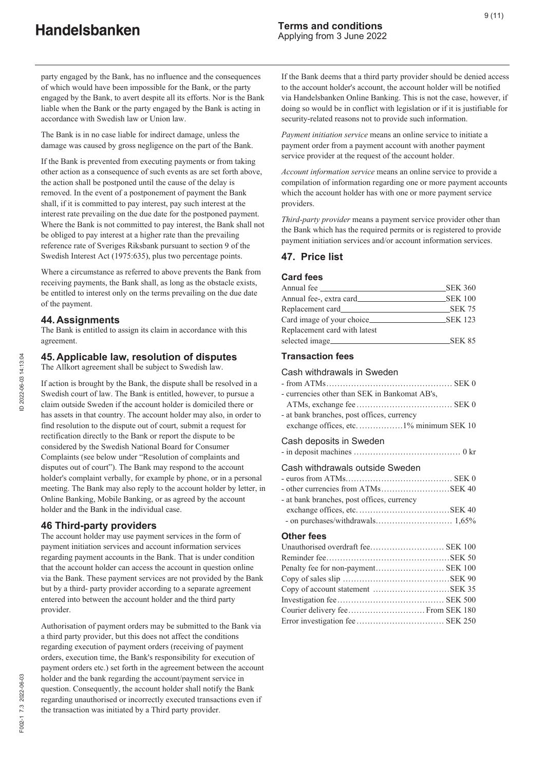party engaged by the Bank, has no influence and the consequences of which would have been impossible for the Bank, or the party engaged by the Bank, to avert despite all its efforts. Nor is the Bank liable when the Bank or the party engaged by the Bank is acting in accordance with Swedish law or Union law.

The Bank is in no case liable for indirect damage, unless the damage was caused by gross negligence on the part of the Bank.

If the Bank is prevented from executing payments or from taking other action as a consequence of such events as are set forth above, the action shall be postponed until the cause of the delay is removed. In the event of a postponement of payment the Bank shall, if it is committed to pay interest, pay such interest at the interest rate prevailing on the due date for the postponed payment. Where the Bank is not committed to pay interest, the Bank shall not be obliged to pay interest at a higher rate than the prevailing reference rate of Sveriges Riksbank pursuant to section 9 of the Swedish Interest Act (1975:635), plus two percentage points.

Where a circumstance as referred to above prevents the Bank from receiving payments, the Bank shall, as long as the obstacle exists, be entitled to interest only on the terms prevailing on the due date of the payment.

#### **44. Assignments**

The Bank is entitled to assign its claim in accordance with this agreement.

#### **45. Applicable law, resolution of disputes**

The Allkort agreement shall be subject to Swedish law.

If action is brought by the Bank, the dispute shall be resolved in a Swedish court of law. The Bank is entitled, however, to pursue a claim outside Sweden if the account holder is domiciled there or has assets in that country. The account holder may also, in order to find resolution to the dispute out of court, submit a request for rectification directly to the Bank or report the dispute to be considered by the Swedish National Board for Consumer Complaints (see below under "Resolution of complaints and disputes out of court"). The Bank may respond to the account holder's complaint verbally, for example by phone, or in a personal meeting. The Bank may also reply to the account holder by letter, in Online Banking, Mobile Banking, or as agreed by the account holder and the Bank in the individual case.

#### **46 Third-party providers**

The account holder may use payment services in the form of payment initiation services and account information services regarding payment accounts in the Bank. That is under condition that the account holder can access the account in question online via the Bank. These payment services are not provided by the Bank but by a third- party provider according to a separate agreement entered into between the account holder and the third party provider.

Authorisation of payment orders may be submitted to the Bank via a third party provider, but this does not affect the conditions regarding execution of payment orders (receiving of payment orders, execution time, the Bank's responsibility for execution of payment orders etc.) set forth in the agreement between the account holder and the bank regarding the account/payment service in question. Consequently, the account holder shall notify the Bank regarding unauthorised or incorrectly executed transactions even if the transaction was initiated by a Third party provider.

If the Bank deems that a third party provider should be denied access to the account holder's account, the account holder will be notified via Handelsbanken Online Banking. This is not the case, however, if doing so would be in conflict with legislation or if it is justifiable for security-related reasons not to provide such information.

*Payment initiation service* means an online service to initiate a payment order from a payment account with another payment service provider at the request of the account holder.

*Account information service* means an online service to provide a compilation of information regarding one or more payment accounts which the account holder has with one or more payment service providers.

*Third-party provider* means a payment service provider other than the Bank which has the required permits or is registered to provide payment initiation services and/or account information services.

#### **47. Price list**

#### **Card fees**

| Annual fee                   | <b>SEK 360</b> |
|------------------------------|----------------|
| Annual fee-, extra card_     | <b>SEK 100</b> |
|                              | SEK 75         |
| Card image of your choice_   | <b>SEK 123</b> |
| Replacement card with latest |                |
| selected image               | SEK 85         |

#### **Transaction fees**

#### Cash withdrawals in Sweden

| - currencies other than SEK in Bankomat AB's, |  |
|-----------------------------------------------|--|
|                                               |  |
| ot houle hugu ahoo woot offices arungeor      |  |

- at bank branches, post offices, currency exchange offices, etc. .................1% minimum SEK 10

#### Cash deposits in Sweden

|--|--|--|--|--|--|--|

#### Cash withdrawals outside Sweden

| - at bank branches, post offices, currency |  |
|--------------------------------------------|--|
|                                            |  |

- on purchases/withdrawals............................ 1,65%

#### **Other fees**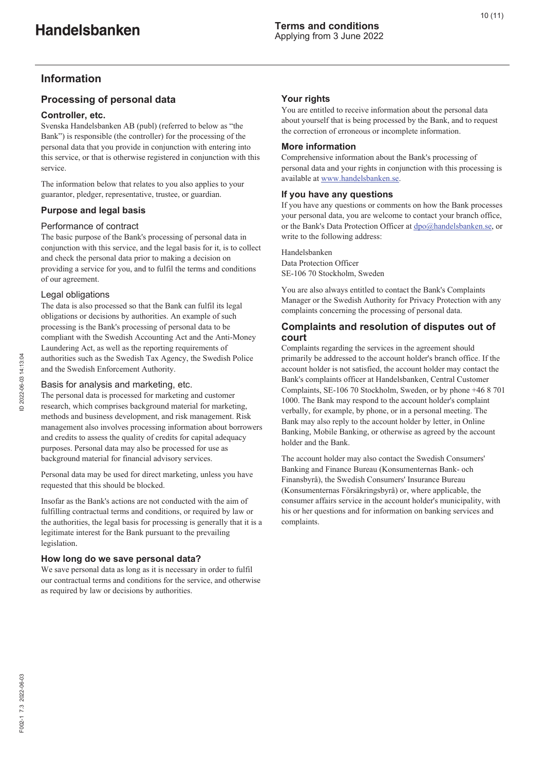# **Information**

# **Processing of personal data**

#### **Controller, etc.**

Svenska Handelsbanken AB (publ) (referred to below as "the Bank") is responsible (the controller) for the processing of the personal data that you provide in conjunction with entering into this service, or that is otherwise registered in conjunction with this service.

The information below that relates to you also applies to your guarantor, pledger, representative, trustee, or guardian.

#### **Purpose and legal basis**

#### Performance of contract

The basic purpose of the Bank's processing of personal data in conjunction with this service, and the legal basis for it, is to collect and check the personal data prior to making a decision on providing a service for you, and to fulfil the terms and conditions of our agreement.

#### Legal obligations

The data is also processed so that the Bank can fulfil its legal obligations or decisions by authorities. An example of such processing is the Bank's processing of personal data to be compliant with the Swedish Accounting Act and the Anti-Money Laundering Act, as well as the reporting requirements of authorities such as the Swedish Tax Agency, the Swedish Police and the Swedish Enforcement Authority.

#### Basis for analysis and marketing, etc.

The personal data is processed for marketing and customer research, which comprises background material for marketing, methods and business development, and risk management. Risk management also involves processing information about borrowers and credits to assess the quality of credits for capital adequacy purposes. Personal data may also be processed for use as background material for financial advisory services.

Personal data may be used for direct marketing, unless you have requested that this should be blocked.

Insofar as the Bank's actions are not conducted with the aim of fulfilling contractual terms and conditions, or required by law or the authorities, the legal basis for processing is generally that it is a legitimate interest for the Bank pursuant to the prevailing legislation.

#### **How long do we save personal data?**

We save personal data as long as it is necessary in order to fulfil our contractual terms and conditions for the service, and otherwise as required by law or decisions by authorities.

#### **Your rights**

You are entitled to receive information about the personal data about yourself that is being processed by the Bank, and to request the correction of erroneous or incomplete information.

#### **More information**

Comprehensive information about the Bank's processing of personal data and your rights in conjunction with this processing is available at www.handelsbanken.se.

#### **If you have any questions**

If you have any questions or comments on how the Bank processes your personal data, you are welcome to contact your branch office, or the Bank's Data Protection Officer at dpo@handelsbanken.se, or write to the following address:

Handelsbanken Data Protection Officer SE-106 70 Stockholm, Sweden

You are also always entitled to contact the Bank's Complaints Manager or the Swedish Authority for Privacy Protection with any complaints concerning the processing of personal data.

#### **Complaints and resolution of disputes out of court**

Complaints regarding the services in the agreement should primarily be addressed to the account holder's branch office. If the account holder is not satisfied, the account holder may contact the Bank's complaints officer at Handelsbanken, Central Customer Complaints, SE-106 70 Stockholm, Sweden, or by phone +46 8 701 1000. The Bank may respond to the account holder's complaint verbally, for example, by phone, or in a personal meeting. The Bank may also reply to the account holder by letter, in Online Banking, Mobile Banking, or otherwise as agreed by the account holder and the Bank.

The account holder may also contact the Swedish Consumers' Banking and Finance Bureau (Konsumenternas Bank- och Finansbyrå), the Swedish Consumers' Insurance Bureau (Konsumenternas Försäkringsbyrå) or, where applicable, the consumer affairs service in the account holder's municipality, with his or her questions and for information on banking services and complaints.